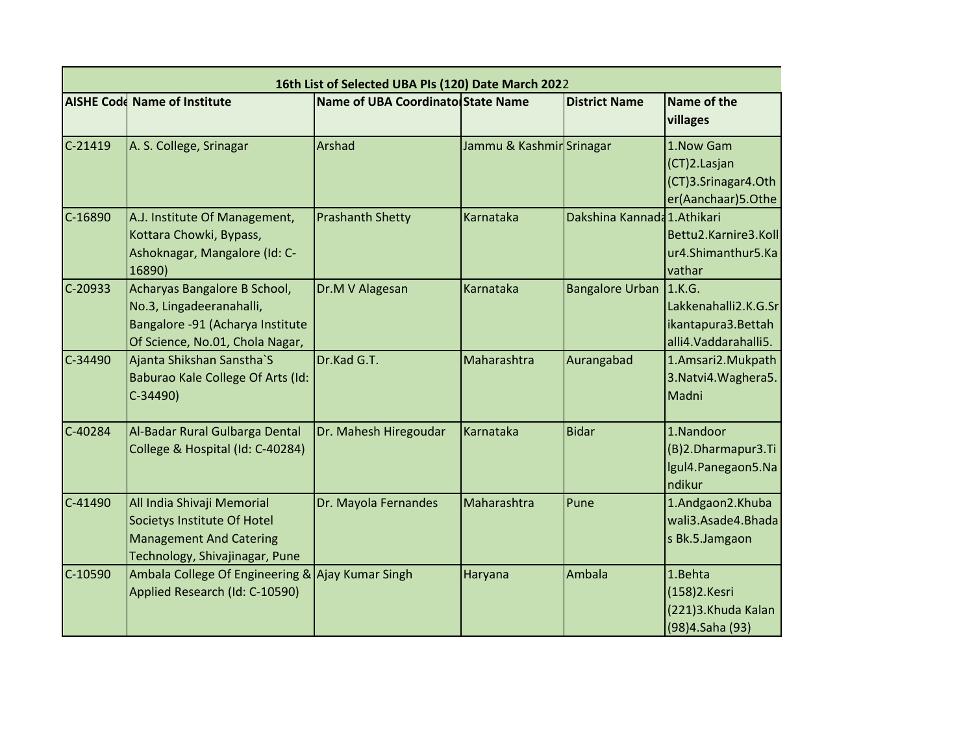|           |                                                                                                                                 | 16th List of Selected UBA PIs (120) Date March 2022 |                          |                             |                                                                                |
|-----------|---------------------------------------------------------------------------------------------------------------------------------|-----------------------------------------------------|--------------------------|-----------------------------|--------------------------------------------------------------------------------|
|           | <b>AISHE Code Name of Institute</b>                                                                                             | Name of UBA Coordinatol State Name                  |                          | <b>District Name</b>        | Name of the<br>villages                                                        |
| $C-21419$ | A. S. College, Srinagar                                                                                                         | Arshad                                              | Jammu & Kashmir Srinagar |                             | 1. Now Gam<br>(CT)2.Lasjan<br>(CT)3.Srinagar4.Oth<br>er(Aanchaar)5.Othe        |
| $C-16890$ | A.J. Institute Of Management,<br>Kottara Chowki, Bypass,<br>Ashoknagar, Mangalore (Id: C-<br>16890)                             | <b>Prashanth Shetty</b>                             | Karnataka                | Dakshina Kannada 1.Athikari | Bettu2.Karnire3.Koll<br>ur4.Shimanthur5.Ka<br>vathar                           |
| $C-20933$ | Acharyas Bangalore B School,<br>No.3, Lingadeeranahalli,<br>Bangalore -91 (Acharya Institute<br>Of Science, No.01, Chola Nagar, | Dr.M V Alagesan                                     | Karnataka                | <b>Bangalore Urban</b>      | 1.K.G.<br>Lakkenahalli2.K.G.Sr<br>ikantapura3. Bettah<br>alli4. Vaddarahalli5. |
| $C-34490$ | Ajanta Shikshan Sanstha'S<br>Baburao Kale College Of Arts (Id:<br>$C-34490$                                                     | Dr.Kad G.T.                                         | Maharashtra              | Aurangabad                  | 1.Amsari2.Mukpath<br>3. Natvi4. Waghera 5.<br>Madni                            |
| C-40284   | Al-Badar Rural Gulbarga Dental<br>College & Hospital (Id: C-40284)                                                              | Dr. Mahesh Hiregoudar                               | Karnataka                | <b>Bidar</b>                | 1.Nandoor<br>(B)2.Dharmapur3.Ti<br>Igul4.Panegaon5.Na<br>ndikur                |
| $C-41490$ | All India Shivaji Memorial<br>Societys Institute Of Hotel<br><b>Management And Catering</b><br>Technology, Shivajinagar, Pune   | Dr. Mayola Fernandes                                | Maharashtra              | Pune                        | 1.Andgaon2.Khuba<br>wali3.Asade4.Bhada<br>s Bk.5.Jamgaon                       |
| $C-10590$ | Ambala College Of Engineering & Ajay Kumar Singh<br>Applied Research (Id: C-10590)                                              |                                                     | Haryana                  | Ambala                      | 1.Behta<br>(158) 2. Kesri<br>(221)3.Khuda Kalan<br>(98) 4. Saha (93)           |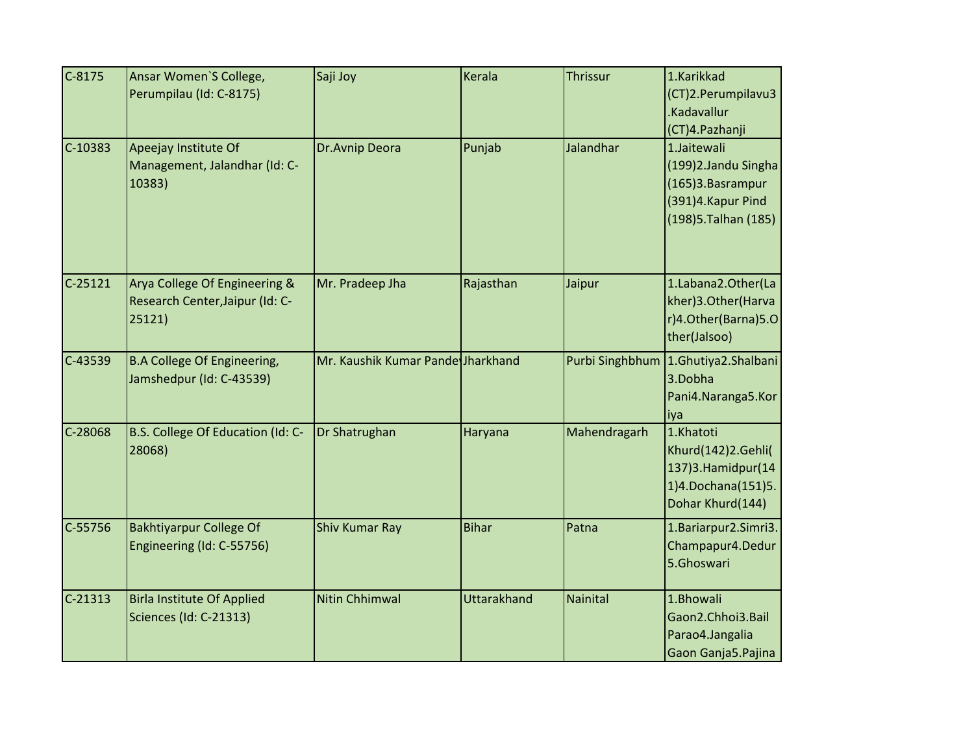| $C-8175$  | Ansar Women'S College,             | Saji Joy                          | Kerala             | <b>Thrissur</b> | 1.Karikkad                          |
|-----------|------------------------------------|-----------------------------------|--------------------|-----------------|-------------------------------------|
|           | Perumpilau (Id: C-8175)            |                                   |                    |                 | (CT)2.Perumpilavu3                  |
|           |                                    |                                   |                    |                 | .Kadavallur                         |
|           |                                    |                                   |                    |                 | (CT)4.Pazhanji                      |
| C-10383   | Apeejay Institute Of               | Dr.Avnip Deora                    | Punjab             | Jalandhar       | 1.Jaitewali                         |
|           | Management, Jalandhar (Id: C-      |                                   |                    |                 | (199)2.Jandu Singha                 |
|           | 10383)                             |                                   |                    |                 | (165)3.Basrampur                    |
|           |                                    |                                   |                    |                 | (391)4.Kapur Pind                   |
|           |                                    |                                   |                    |                 | (198) 5. Talhan (185)               |
| $C-25121$ | Arya College Of Engineering &      | Mr. Pradeep Jha                   | Rajasthan          | Jaipur          | 1.Labana2.Other(La                  |
|           | Research Center, Jaipur (Id: C-    |                                   |                    |                 | kher)3.Other(Harva                  |
|           | 25121)                             |                                   |                    |                 | r)4.Other(Barna)5.O                 |
|           |                                    |                                   |                    |                 | ther(Jalsoo)                        |
| C-43539   | <b>B.A College Of Engineering,</b> | Mr. Kaushik Kumar Pande Jharkhand |                    |                 | Purbi Singhbhum 1.Ghutiya2.Shalbani |
|           | Jamshedpur (Id: C-43539)           |                                   |                    |                 | 3.Dobha                             |
|           |                                    |                                   |                    |                 | Pani4.Naranga5.Kor                  |
|           |                                    |                                   |                    |                 | iya                                 |
| C-28068   | B.S. College Of Education (Id: C-  | Dr Shatrughan                     | Haryana            | Mahendragarh    | 1.Khatoti                           |
|           | 28068)                             |                                   |                    |                 | Khurd(142)2.Gehli(                  |
|           |                                    |                                   |                    |                 | 137)3.Hamidpur(14                   |
|           |                                    |                                   |                    |                 | 1)4.Dochana(151)5.                  |
|           |                                    |                                   |                    |                 | Dohar Khurd(144)                    |
| C-55756   | <b>Bakhtiyarpur College Of</b>     | <b>Shiv Kumar Ray</b>             | <b>Bihar</b>       | Patna           | 1.Bariarpur2.Simri3.                |
|           | Engineering (Id: C-55756)          |                                   |                    |                 | Champapur4.Dedur                    |
|           |                                    |                                   |                    |                 | 5.Ghoswari                          |
| $C-21313$ | <b>Birla Institute Of Applied</b>  | <b>Nitin Chhimwal</b>             | <b>Uttarakhand</b> | <b>Nainital</b> | 1.Bhowali                           |
|           | <b>Sciences (Id: C-21313)</b>      |                                   |                    |                 | Gaon2.Chhoi3.Bail                   |
|           |                                    |                                   |                    |                 | Parao4.Jangalia                     |
|           |                                    |                                   |                    |                 | Gaon Ganja5.Pajina                  |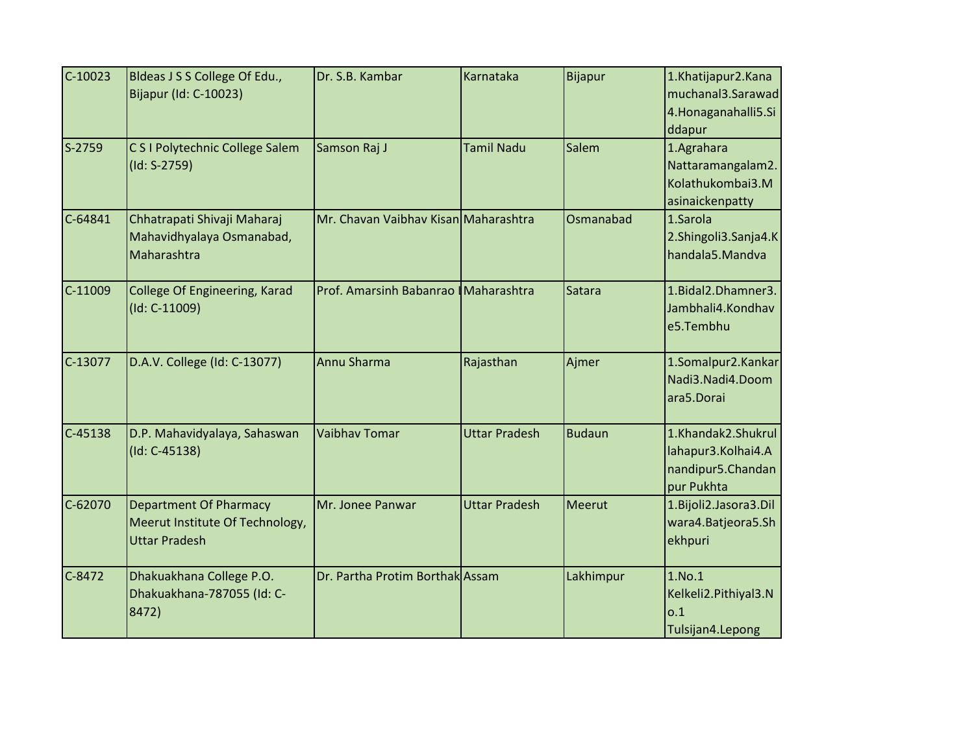| $C-10023$   | Bldeas J S S College Of Edu.,   | Dr. S.B. Kambar                       | <b>Karnataka</b>     | <b>Bijapur</b> | 1.Khatijapur2.Kana    |
|-------------|---------------------------------|---------------------------------------|----------------------|----------------|-----------------------|
|             | Bijapur (Id: C-10023)           |                                       |                      |                | muchanal3.Sarawad     |
|             |                                 |                                       |                      |                | 4.Honaganahalli5.Si   |
|             |                                 |                                       |                      |                | ddapur                |
| S-2759      | C S I Polytechnic College Salem | Samson Raj J                          | <b>Tamil Nadu</b>    | Salem          | 1.Agrahara            |
|             | $(Id: S-2759)$                  |                                       |                      |                | Nattaramangalam2.     |
|             |                                 |                                       |                      |                | Kolathukombai3.M      |
|             |                                 |                                       |                      |                | asinaickenpatty       |
| $C-64841$   | Chhatrapati Shivaji Maharaj     | Mr. Chavan Vaibhav Kisan Maharashtra  |                      | Osmanabad      | 1.Sarola              |
|             | Mahavidhyalaya Osmanabad,       |                                       |                      |                | 2.Shingoli3.Sanja4.K  |
|             | Maharashtra                     |                                       | handala5.Mandva      |                |                       |
| C-11009     | College Of Engineering, Karad   | Prof. Amarsinh Babanrao   Maharashtra |                      | Satara         | 1.Bidal2.Dhamner3.    |
|             | $(Id: C-11009)$                 |                                       |                      |                | Jambhali4.Kondhav     |
|             |                                 |                                       |                      |                | e5.Tembhu             |
| $C-13077$   | D.A.V. College (Id: C-13077)    | Annu Sharma                           | Rajasthan            | Ajmer          | 1.Somalpur2.Kankar    |
|             |                                 |                                       |                      |                | Nadi3.Nadi4.Doom      |
|             |                                 |                                       |                      |                | ara5.Dorai            |
| C-45138     | D.P. Mahavidyalaya, Sahaswan    | Vaibhav Tomar                         | <b>Uttar Pradesh</b> | <b>Budaun</b>  | 1.Khandak2.Shukrul    |
|             | $(Id: C-45138)$                 |                                       |                      |                | lahapur3.Kolhai4.A    |
|             |                                 |                                       |                      |                | nandipur5.Chandan     |
|             |                                 |                                       |                      |                | pur Pukhta            |
| $C - 62070$ | Department Of Pharmacy          | Mr. Jonee Panwar                      | <b>Uttar Pradesh</b> | Meerut         | 1.Bijoli2.Jasora3.Dil |
|             | Meerut Institute Of Technology, |                                       |                      |                | wara4.Batjeora5.Sh    |
|             | <b>Uttar Pradesh</b>            |                                       |                      |                | ekhpuri               |
| $C-8472$    | Dhakuakhana College P.O.        | Dr. Partha Protim Borthak Assam       |                      | Lakhimpur      | 1.No.1                |
|             | Dhakuakhana-787055 (Id: C-      |                                       |                      |                | Kelkeli2.Pithiyal3.N  |
|             | 8472)                           |                                       |                      |                | o.1                   |
|             |                                 |                                       |                      |                | Tulsijan4.Lepong      |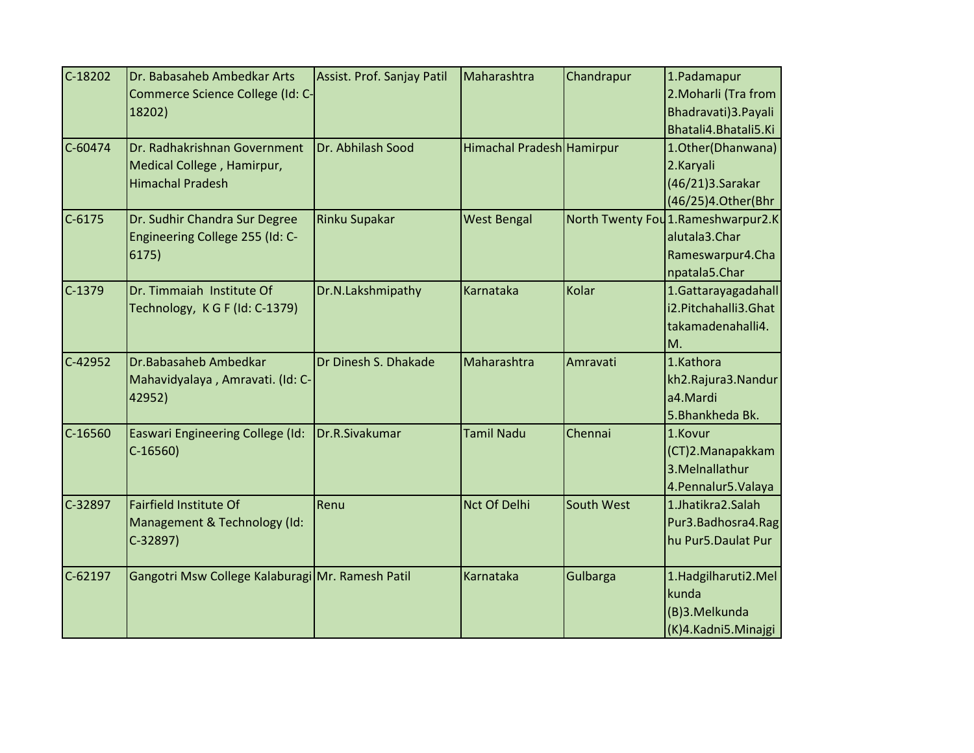| $C-18202$   | Dr. Babasaheb Ambedkar Arts                      | Assist. Prof. Sanjay Patil | Maharashtra               | Chandrapur        | 1. Padamapur                       |
|-------------|--------------------------------------------------|----------------------------|---------------------------|-------------------|------------------------------------|
|             |                                                  |                            |                           |                   |                                    |
|             | Commerce Science College (Id: C-                 |                            |                           |                   | 2. Moharli (Tra from               |
|             | 18202)                                           |                            |                           |                   | Bhadravati)3. Payali               |
|             |                                                  |                            |                           |                   | Bhatali4.Bhatali5.Ki               |
| $C - 60474$ | Dr. Radhakrishnan Government                     | Dr. Abhilash Sood          | Himachal Pradesh Hamirpur |                   | 1.Other(Dhanwana)                  |
|             | Medical College, Hamirpur,                       |                            |                           |                   | 2.Karyali                          |
|             | <b>Himachal Pradesh</b>                          |                            |                           |                   | (46/21)3. Sarakar                  |
|             |                                                  |                            |                           |                   | (46/25)4.Other(Bhr                 |
| $C-6175$    | Dr. Sudhir Chandra Sur Degree                    | Rinku Supakar              | <b>West Bengal</b>        |                   | North Twenty Fou 1.Rameshwarpur2.K |
|             | Engineering College 255 (Id: C-                  |                            |                           |                   | alutala3.Char                      |
|             | 6175)                                            |                            |                           |                   | Rameswarpur4.Cha                   |
|             |                                                  |                            |                           |                   | npatala5.Char                      |
| $C-1379$    | Dr. Timmaiah Institute Of                        | Dr.N.Lakshmipathy          | Karnataka                 | Kolar             | 1.Gattarayagadahall                |
|             | Technology, K G F (Id: C-1379)                   |                            |                           |                   | i2.Pitchahalli3.Ghat               |
|             |                                                  |                            |                           |                   | takamadenahalli4.                  |
|             |                                                  |                            |                           |                   | M.                                 |
| $C-42952$   | Dr.Babasaheb Ambedkar                            | Dr Dinesh S. Dhakade       | Maharashtra               | Amravati          | 1.Kathora                          |
|             | Mahavidyalaya, Amravati. (Id: C-                 |                            |                           |                   | kh2.Rajura3.Nandur                 |
|             | 42952)                                           |                            |                           |                   | a4.Mardi                           |
|             |                                                  |                            |                           |                   | 5. Bhankheda Bk.                   |
| $C-16560$   | Easwari Engineering College (Id:                 | Dr.R.Sivakumar             | <b>Tamil Nadu</b>         | Chennai           | 1.Kovur                            |
|             | $C-16560$                                        |                            |                           |                   | (CT)2. Manapakkam                  |
|             |                                                  |                            |                           |                   | 3. Melnallathur                    |
|             |                                                  |                            |                           |                   | 4. Pennalur 5. Valaya              |
| C-32897     | <b>Fairfield Institute Of</b>                    | Renu                       | <b>Nct Of Delhi</b>       | <b>South West</b> | 1.Jhatikra2.Salah                  |
|             | Management & Technology (Id:                     |                            |                           |                   | Pur3.Badhosra4.Rag                 |
|             | $C-32897$                                        |                            |                           |                   | hu Pur5.Daulat Pur                 |
|             |                                                  |                            |                           |                   |                                    |
| $C-62197$   | Gangotri Msw College Kalaburagi Mr. Ramesh Patil |                            | Karnataka                 | Gulbarga          | 1.Hadgilharuti2.Mel                |
|             |                                                  |                            |                           |                   | kunda                              |
|             |                                                  |                            |                           |                   | (B)3.Melkunda                      |
|             |                                                  |                            |                           |                   | (K)4.Kadni5.Minajgi                |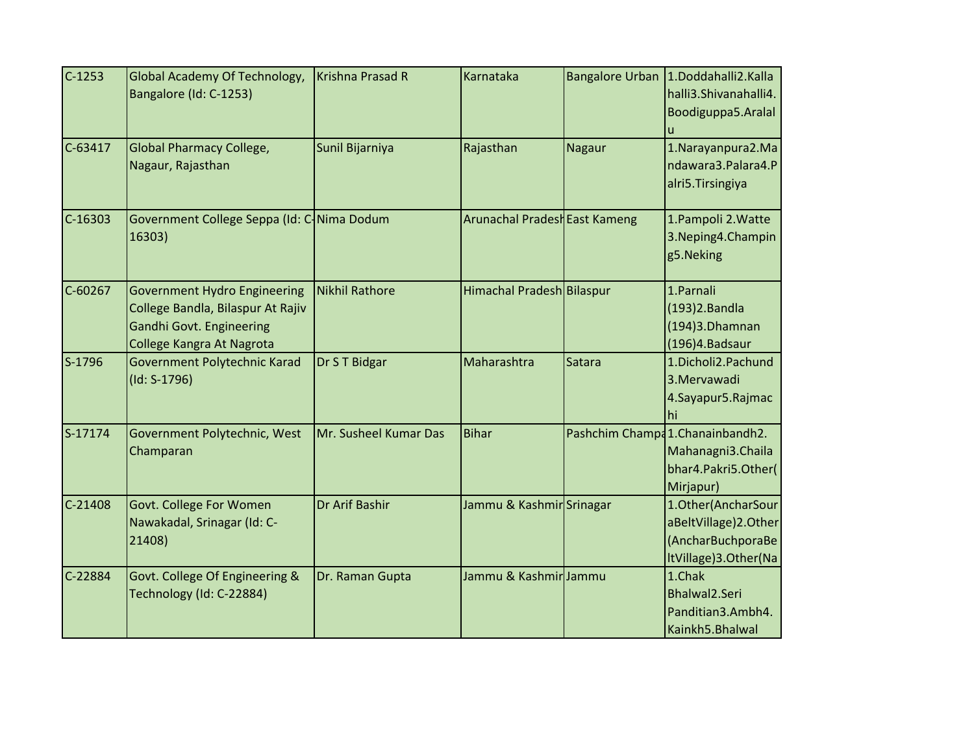| $C-1253$    | Global Academy Of Technology,<br>Bangalore (Id: C-1253)                                                                           | Krishna Prasad R      | Karnataka                     |               | Bangalore Urban 1.Doddahalli2.Kalla<br>halli3.Shivanahalli4.<br>Boodiguppa5.Aralal<br>u     |
|-------------|-----------------------------------------------------------------------------------------------------------------------------------|-----------------------|-------------------------------|---------------|---------------------------------------------------------------------------------------------|
| C-63417     | Global Pharmacy College,<br>Nagaur, Rajasthan                                                                                     | Sunil Bijarniya       | Rajasthan                     | <b>Nagaur</b> | 1. Narayanpura 2. Ma<br>ndawara3.Palara4.P<br>alri5. Tirsingiya                             |
| $C-16303$   | Government College Seppa (Id: C-Nima Dodum<br>16303)                                                                              |                       | Arunachal Pradesh East Kameng |               | 1. Pampoli 2. Watte<br>3. Neping 4. Champin<br>g5.Neking                                    |
| $C - 60267$ | <b>Government Hydro Engineering</b><br>College Bandla, Bilaspur At Rajiv<br>Gandhi Govt. Engineering<br>College Kangra At Nagrota | <b>Nikhil Rathore</b> | Himachal Pradesh Bilaspur     |               | 1.Parnali<br>$(193)$ 2. Bandla<br>$(194)$ 3. Dhamnan<br>(196)4.Badsaur                      |
| S-1796      | Government Polytechnic Karad<br>$(Id: S-1796)$                                                                                    | Dr S T Bidgar         | Maharashtra                   | Satara        | 1.Dicholi2.Pachund<br>3.Mervawadi<br>4.Sayapur5.Rajmac<br>hi                                |
| S-17174     | Government Polytechnic, West<br>Champaran                                                                                         | Mr. Susheel Kumar Das | <b>Bihar</b>                  |               | Pashchim Champa 1. Chanainbandh 2.<br>Mahanagni3.Chaila<br>bhar4.Pakri5.Other(<br>Mirjapur) |
| C-21408     | Govt. College For Women<br>Nawakadal, Srinagar (Id: C-<br>21408)                                                                  | Dr Arif Bashir        | Jammu & Kashmir Srinagar      |               | 1.Other(AncharSour<br>aBeltVillage)2.Other<br>(AncharBuchporaBe<br>ItVillage)3.Other(Na     |
| C-22884     | Govt. College Of Engineering &<br>Technology (Id: C-22884)                                                                        | Dr. Raman Gupta       | Jammu & Kashmir Jammu         |               | 1.Chak<br>Bhalwal2.Seri<br>Panditian3.Ambh4.<br>Kainkh5.Bhalwal                             |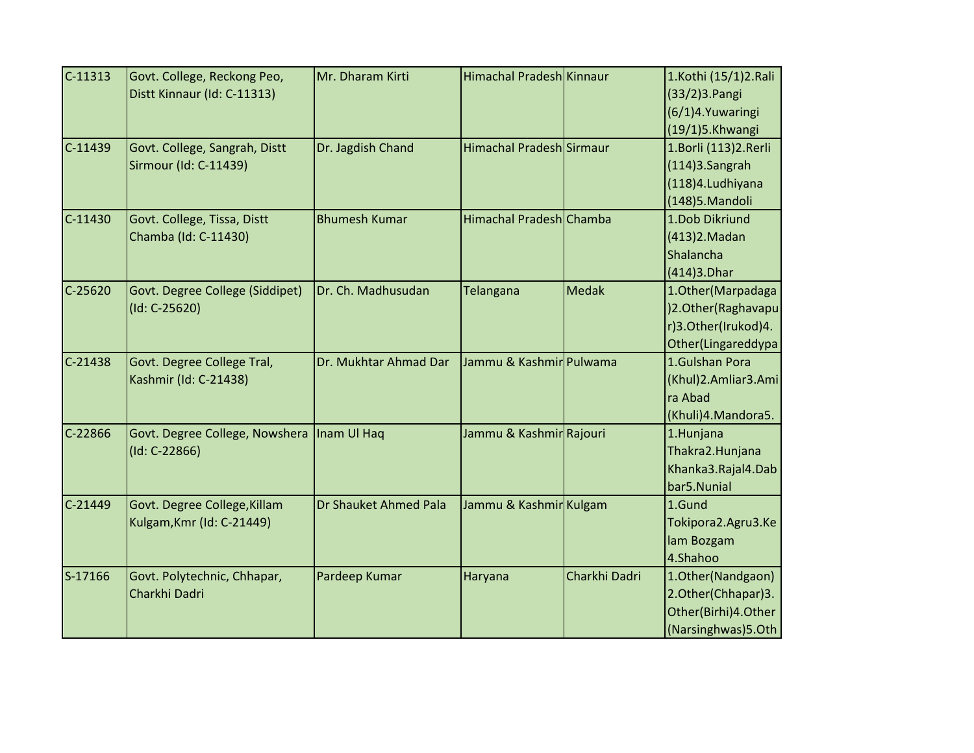| $C-11313$ | Govt. College, Reckong Peo,     | Mr. Dharam Kirti      | Himachal Pradesh Kinnaur |               | 1.Kothi (15/1)2.Rali  |
|-----------|---------------------------------|-----------------------|--------------------------|---------------|-----------------------|
|           | Distt Kinnaur (Id: C-11313)     |                       |                          |               | (33/2)3. Pangi        |
|           |                                 |                       |                          |               | (6/1)4. Yuwaringi     |
|           |                                 |                       |                          |               | (19/1)5.Khwangi       |
| $C-11439$ | Govt. College, Sangrah, Distt   | Dr. Jagdish Chand     | Himachal Pradesh Sirmaur |               | 1.Borli (113) 2.Rerli |
|           | Sirmour (Id: C-11439)           |                       |                          |               | $(114)$ 3. Sangrah    |
|           |                                 |                       |                          |               | (118)4.Ludhiyana      |
|           |                                 |                       |                          |               | (148)5.Mandoli        |
| $C-11430$ | Govt. College, Tissa, Distt     | <b>Bhumesh Kumar</b>  | Himachal Pradesh Chamba  |               | 1.Dob Dikriund        |
|           | Chamba (Id: C-11430)            |                       |                          |               | (413) 2. Madan        |
|           |                                 |                       |                          |               | Shalancha             |
|           |                                 |                       |                          |               | $(414)$ 3. Dhar       |
| $C-25620$ | Govt. Degree College (Siddipet) | Dr. Ch. Madhusudan    | <b>Telangana</b>         | <b>Medak</b>  | 1.Other(Marpadaga     |
|           | $(Id: C-25620)$                 |                       |                          |               | )2.Other(Raghavapu    |
|           |                                 |                       |                          |               | r)3.Other(Irukod)4.   |
|           |                                 |                       |                          |               | Other(Lingareddypa    |
| $C-21438$ | Govt. Degree College Tral,      | Dr. Mukhtar Ahmad Dar | Jammu & Kashmir Pulwama  |               | 1.Gulshan Pora        |
|           | Kashmir (Id: C-21438)           |                       |                          |               | (Khul)2.Amliar3.Ami   |
|           |                                 |                       |                          |               | ra Abad               |
|           |                                 |                       |                          |               | (Khuli)4.Mandora5.    |
| C-22866   | Govt. Degree College, Nowshera  | Inam Ul Haq           | Jammu & Kashmir Rajouri  |               | 1.Hunjana             |
|           | $(Id: C-22866)$                 |                       |                          |               | Thakra2.Hunjana       |
|           |                                 |                       |                          |               | Khanka3.Rajal4.Dab    |
|           |                                 |                       |                          |               | bar5.Nunial           |
| $C-21449$ | Govt. Degree College, Killam    | Dr Shauket Ahmed Pala | Jammu & Kashmir Kulgam   |               | 1.Gund                |
|           | Kulgam, Kmr (Id: C-21449)       |                       |                          |               | Tokipora2.Agru3.Ke    |
|           |                                 |                       |                          |               | lam Bozgam            |
|           |                                 |                       |                          |               | 4.Shahoo              |
| S-17166   | Govt. Polytechnic, Chhapar,     | Pardeep Kumar         | Haryana                  | Charkhi Dadri | 1.Other(Nandgaon)     |
|           | Charkhi Dadri                   |                       |                          |               | 2.Other(Chhapar)3.    |
|           |                                 |                       |                          |               | Other(Birhi)4.Other   |
|           |                                 |                       |                          |               | (Narsinghwas)5.Oth    |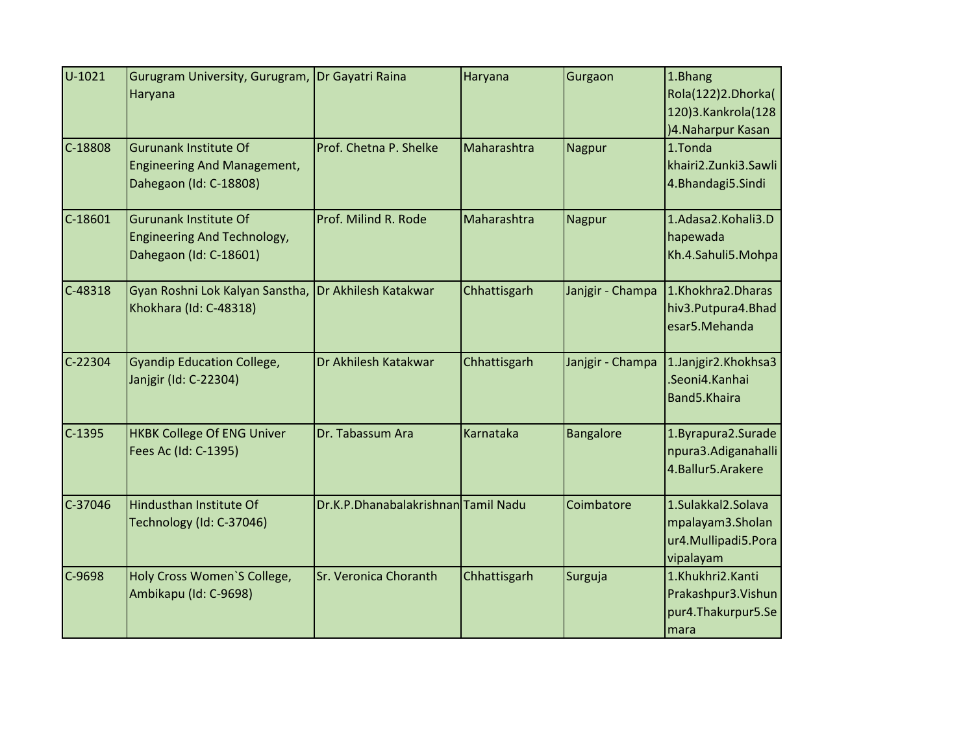| U-1021    | Gurugram University, Gurugram, Dr Gayatri Raina |                                     | Haryana          | Gurgaon          | 1.Bhang                |
|-----------|-------------------------------------------------|-------------------------------------|------------------|------------------|------------------------|
|           | Haryana                                         |                                     |                  |                  | Rola(122)2.Dhorka(     |
|           |                                                 |                                     |                  |                  | 120)3.Kankrola(128     |
|           |                                                 |                                     |                  |                  | )4. Naharpur Kasan     |
| C-18808   | <b>Gurunank Institute Of</b>                    | Prof. Chetna P. Shelke              | Maharashtra      | <b>Nagpur</b>    | 1.Tonda                |
|           | <b>Engineering And Management,</b>              |                                     |                  |                  | khairi2.Zunki3.Sawli   |
|           | Dahegaon (Id: C-18808)                          |                                     |                  |                  | 4.Bhandagi5.Sindi      |
| $C-18601$ | <b>Gurunank Institute Of</b>                    | Prof. Milind R. Rode                | Maharashtra      | <b>Nagpur</b>    | 1.Adasa2.Kohali3.D     |
|           | <b>Engineering And Technology,</b>              |                                     |                  |                  | hapewada               |
|           | Dahegaon (Id: C-18601)                          |                                     |                  |                  | Kh.4.Sahuli5.Mohpa     |
| C-48318   | Gyan Roshni Lok Kalyan Sanstha,                 | Dr Akhilesh Katakwar                | Chhattisgarh     | Janjgir - Champa | 1.Khokhra2.Dharas      |
|           | Khokhara (Id: C-48318)                          |                                     |                  |                  | hiv3. Putpura 4. Bhad  |
|           |                                                 |                                     |                  |                  | esar5.Mehanda          |
| C-22304   | <b>Gyandip Education College,</b>               | Dr Akhilesh Katakwar                | Chhattisgarh     | Janjgir - Champa | 1.Janjgir2.Khokhsa3    |
|           | Janjgir (Id: C-22304)                           |                                     |                  |                  | Seoni4.Kanhai          |
|           |                                                 |                                     |                  |                  | Band5.Khaira           |
| $C-1395$  | <b>HKBK College Of ENG Univer</b>               | Dr. Tabassum Ara                    | <b>Karnataka</b> | <b>Bangalore</b> | 1.Byrapura2.Surade     |
|           | Fees Ac (Id: C-1395)                            |                                     |                  |                  | npura3.Adiganahalli    |
|           |                                                 |                                     |                  |                  | 4. Ballur 5. Arakere   |
| C-37046   | Hindusthan Institute Of                         | Dr.K.P.Dhanabalakrishnan Tamil Nadu |                  | Coimbatore       | 1.Sulakkal2.Solava     |
|           | Technology (Id: C-37046)                        |                                     |                  |                  | mpalayam3.Sholan       |
|           |                                                 |                                     |                  |                  | ur4. Mullipadi 5. Pora |
|           |                                                 |                                     |                  |                  | vipalayam              |
| $C-9698$  | Holy Cross Women'S College,                     | <b>Sr. Veronica Choranth</b>        | Chhattisgarh     | Surguja          | 1.Khukhri2.Kanti       |
|           | Ambikapu (Id: C-9698)                           |                                     |                  |                  | Prakashpur3. Vishun    |
|           |                                                 |                                     |                  |                  | pur4.Thakurpur5.Se     |
|           |                                                 |                                     |                  |                  | mara                   |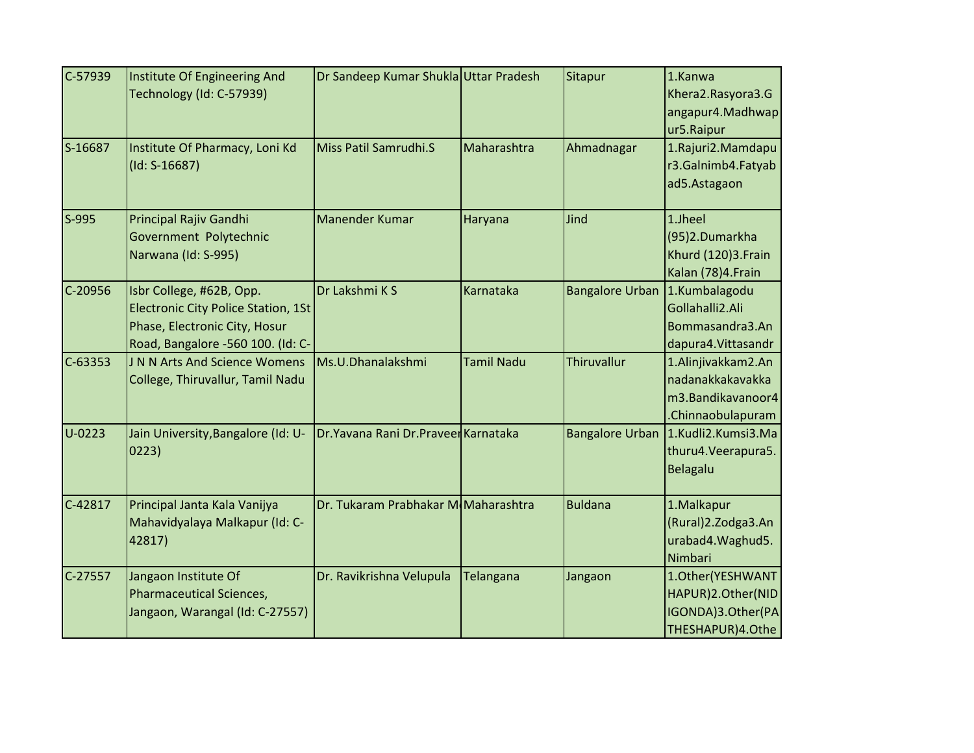| $C-57939$ | Institute Of Engineering And        | Dr Sandeep Kumar Shukla Uttar Pradesh |                   | Sitapur                       | 1.Kanwa             |
|-----------|-------------------------------------|---------------------------------------|-------------------|-------------------------------|---------------------|
|           | Technology (Id: C-57939)            |                                       |                   |                               | Khera2.Rasyora3.G   |
|           |                                     |                                       |                   |                               | angapur4.Madhwap    |
|           |                                     |                                       |                   |                               | ur5.Raipur          |
| S-16687   | Institute Of Pharmacy, Loni Kd      | Miss Patil Samrudhi.S                 | Maharashtra       | Ahmadnagar                    | 1.Rajuri2.Mamdapu   |
|           | $(Id: S-16687)$                     |                                       |                   |                               | r3.Galnimb4.Fatyab  |
|           |                                     |                                       | ad5.Astagaon      |                               |                     |
| S-995     | Principal Rajiv Gandhi              | Manender Kumar                        | Haryana           | Jind                          | 1.Jheel             |
|           | Government Polytechnic              |                                       |                   |                               | (95)2.Dumarkha      |
|           | Narwana (Id: S-995)                 |                                       |                   |                               | Khurd (120)3. Frain |
|           |                                     |                                       |                   |                               | Kalan (78)4.Frain   |
| C-20956   | Isbr College, #62B, Opp.            | Dr Lakshmi K S                        | Karnataka         | Bangalore Urban 1.Kumbalagodu |                     |
|           | Electronic City Police Station, 1St |                                       |                   |                               | Gollahalli2.Ali     |
|           | Phase, Electronic City, Hosur       |                                       |                   |                               | Bommasandra3.An     |
|           | Road, Bangalore -560 100. (Id: C-   |                                       |                   |                               | dapura4.Vittasandr  |
| $C-63353$ | J N N Arts And Science Womens       | Ms.U.Dhanalakshmi                     | <b>Tamil Nadu</b> | Thiruvallur                   | 1.Alinjivakkam2.An  |
|           | College, Thiruvallur, Tamil Nadu    |                                       |                   |                               | nadanakkakavakka    |
|           |                                     |                                       |                   |                               | m3.Bandikavanoor4   |
|           |                                     |                                       |                   |                               | .Chinnaobulapuram   |
| $U-0223$  | Jain University, Bangalore (Id: U-  | Dr. Yavana Rani Dr. Praveer Karnataka |                   | <b>Bangalore Urban</b>        | 1.Kudli2.Kumsi3.Ma  |
|           | 0223)                               |                                       |                   |                               | thuru4.Veerapura5.  |
|           |                                     |                                       |                   |                               | <b>Belagalu</b>     |
| C-42817   | Principal Janta Kala Vanijya        | Dr. Tukaram Prabhakar M Maharashtra   |                   | <b>Buldana</b>                | 1.Malkapur          |
|           | Mahavidyalaya Malkapur (Id: C-      |                                       |                   |                               | (Rural)2.Zodga3.An  |
|           | 42817)                              |                                       |                   |                               | urabad4. Waghud5.   |
|           |                                     |                                       |                   |                               | Nimbari             |
| $C-27557$ | Jangaon Institute Of                | Dr. Ravikrishna Velupula              | Telangana         | Jangaon                       | 1.Other(YESHWANT    |
|           | Pharmaceutical Sciences,            |                                       |                   |                               | HAPUR)2.Other(NID   |
|           | Jangaon, Warangal (Id: C-27557)     |                                       |                   |                               | IGONDA)3.Other(PA   |
|           |                                     |                                       |                   |                               | THESHAPUR)4.Othe    |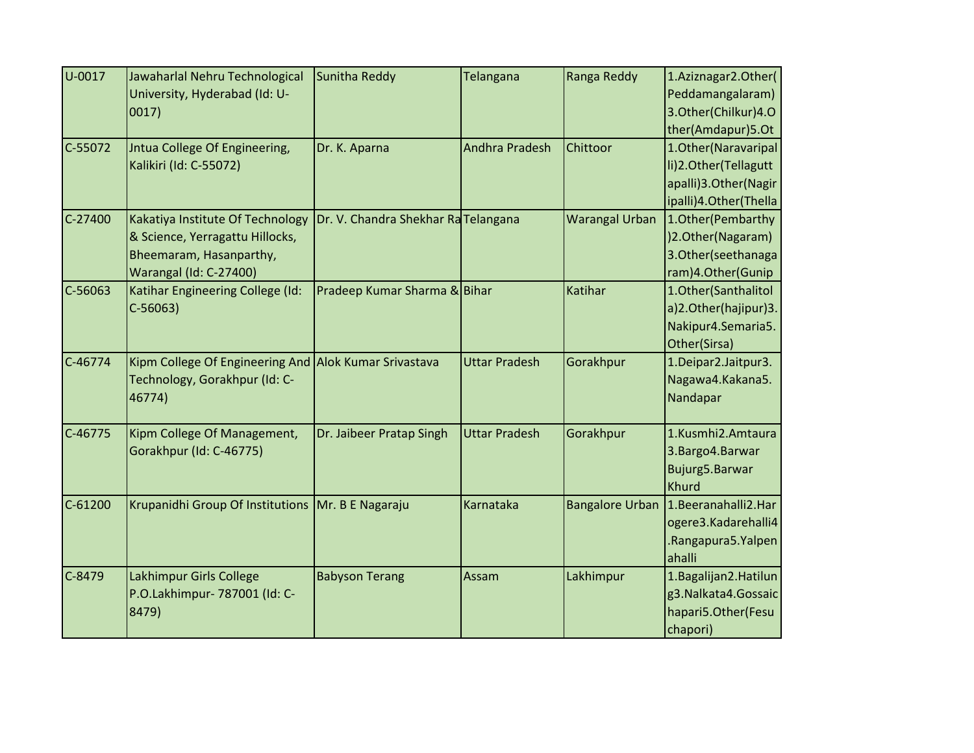| U-0017    | Jawaharlal Nehru Technological                        | Sunitha Reddy                       | Telangana            | Ranga Reddy            | 1.Aziznagar2.Other(     |
|-----------|-------------------------------------------------------|-------------------------------------|----------------------|------------------------|-------------------------|
|           | University, Hyderabad (Id: U-                         |                                     |                      |                        | Peddamangalaram)        |
|           | $ 0017\rangle$                                        |                                     |                      |                        | 3.Other(Chilkur)4.O     |
|           |                                                       |                                     |                      |                        | ther(Amdapur)5.Ot       |
| C-55072   | Jntua College Of Engineering,                         | Dr. K. Aparna                       | Andhra Pradesh       | Chittoor               | 1.Other(Naravaripal     |
|           | Kalikiri (Id: C-55072)                                |                                     |                      |                        | li)2.Other(Tellagutt    |
|           |                                                       |                                     |                      |                        | apalli)3.Other(Nagir    |
|           |                                                       |                                     |                      |                        | ipalli)4.Other(Thella   |
| $C-27400$ | Kakatiya Institute Of Technology                      | Dr. V. Chandra Shekhar Ra Telangana |                      | <b>Warangal Urban</b>  | 1.Other(Pembarthy       |
|           | & Science, Yerragattu Hillocks,                       |                                     |                      |                        | )2.Other(Nagaram)       |
|           | Bheemaram, Hasanparthy,                               |                                     |                      |                        | 3.Other(seethanaga      |
|           | <b>Warangal (Id: C-27400)</b>                         |                                     |                      |                        | ram)4.Other(Gunip       |
| C-56063   | Katihar Engineering College (Id:                      | Pradeep Kumar Sharma & Bihar        |                      | <b>Katihar</b>         | 1.Other(Santhalitol     |
|           | $C-56063)$                                            |                                     |                      |                        | a)2.Other(hajipur)3.    |
|           |                                                       |                                     |                      |                        | Nakipur4.Semaria5.      |
|           |                                                       |                                     |                      |                        | Other(Sirsa)            |
| C-46774   | Kipm College Of Engineering And Alok Kumar Srivastava |                                     | <b>Uttar Pradesh</b> | Gorakhpur              | 1.Deipar2.Jaitpur3.     |
|           | Technology, Gorakhpur (Id: C-                         |                                     |                      |                        | Nagawa4.Kakana5.        |
|           | 46774)                                                |                                     |                      |                        | Nandapar                |
| C-46775   | Kipm College Of Management,                           | Dr. Jaibeer Pratap Singh            | <b>Uttar Pradesh</b> | Gorakhpur              | 1.Kusmhi2.Amtaura       |
|           | Gorakhpur (Id: C-46775)                               |                                     |                      |                        | 3.Bargo4.Barwar         |
|           |                                                       |                                     |                      |                        | Bujurg5.Barwar          |
|           |                                                       |                                     |                      |                        | Khurd                   |
| C-61200   | Krupanidhi Group Of Institutions                      | Mr. B E Nagaraju                    | Karnataka            | <b>Bangalore Urban</b> | 1.Beeranahalli2.Har     |
|           |                                                       |                                     |                      |                        | ogere3.Kadarehalli4     |
|           |                                                       |                                     |                      |                        | .Rangapura5.Yalpen      |
|           |                                                       |                                     |                      |                        | ahalli                  |
| $C-8479$  | Lakhimpur Girls College                               | <b>Babyson Terang</b>               | Assam                | Lakhimpur              | 1. Bagalijan 2. Hatilun |
|           | P.O.Lakhimpur- 787001 (Id: C-                         |                                     |                      |                        | g3. Nalkata4. Gossaic   |
|           | 8479)                                                 |                                     |                      |                        | hapari5.Other(Fesu      |
|           |                                                       |                                     |                      |                        | chapori)                |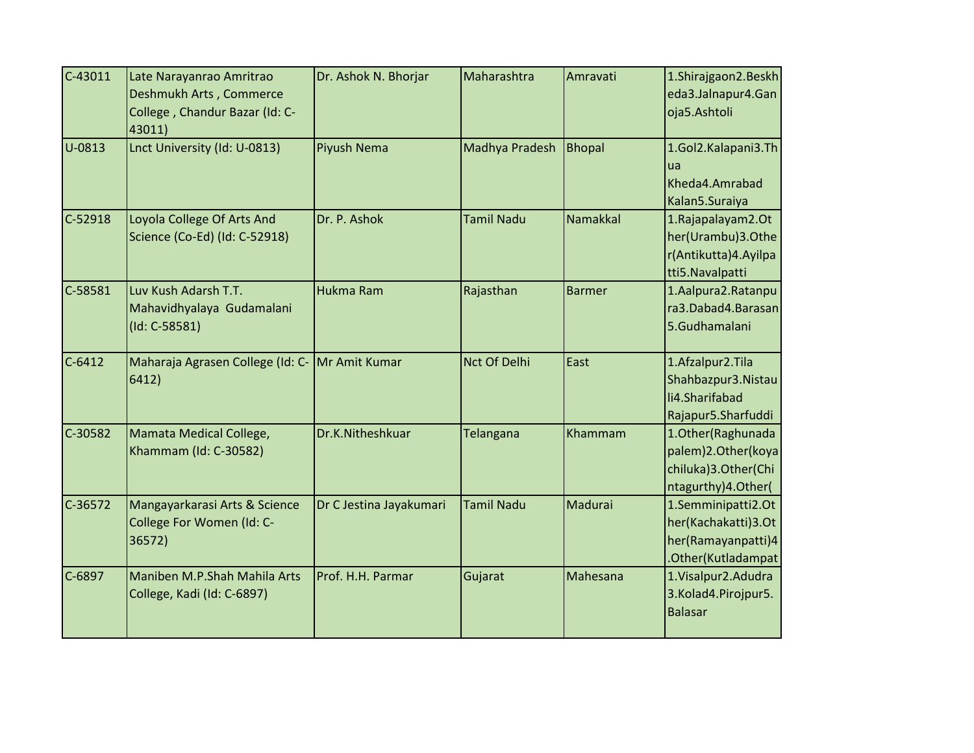| $C-43011$ | Late Narayanrao Amritrao                                  | Dr. Ashok N. Bhorjar    | Maharashtra         | Amravati        | 1.Shirajgaon2.Beskh                |
|-----------|-----------------------------------------------------------|-------------------------|---------------------|-----------------|------------------------------------|
|           | Deshmukh Arts, Commerce<br>College, Chandur Bazar (Id: C- |                         |                     |                 | eda3.Jalnapur4.Gan<br>oja5.Ashtoli |
|           | 43011)                                                    |                         |                     |                 |                                    |
| U-0813    | Lnct University (Id: U-0813)                              | Piyush Nema             | Madhya Pradesh      | <b>Bhopal</b>   | 1.Gol2.Kalapani3.Th                |
|           |                                                           |                         |                     |                 | ua                                 |
|           |                                                           |                         |                     |                 | Kheda4.Amrabad                     |
|           |                                                           |                         |                     |                 | Kalan5.Suraiya                     |
| $C-52918$ | Loyola College Of Arts And                                | Dr. P. Ashok            | <b>Tamil Nadu</b>   | <b>Namakkal</b> | 1.Rajapalayam2.Ot                  |
|           | Science (Co-Ed) (Id: C-52918)                             |                         |                     |                 | her(Urambu)3.Othe                  |
|           |                                                           |                         |                     |                 | r(Antikutta)4.Ayilpa               |
|           |                                                           |                         |                     |                 | tti5.Navalpatti                    |
| $C-58581$ | Luv Kush Adarsh T.T.                                      | Hukma Ram               | Rajasthan           | <b>Barmer</b>   | 1.Aalpura2.Ratanpu                 |
|           | Mahavidhyalaya Gudamalani                                 |                         |                     |                 | ra3.Dabad4.Barasan                 |
|           | $(Id: C-58581)$                                           |                         |                     |                 | 5.Gudhamalani                      |
| $C-6412$  | Maharaja Agrasen College (Id: C- Mr Amit Kumar            |                         | <b>Nct Of Delhi</b> | East            | 1.Afzalpur2.Tila                   |
|           | 6412)                                                     |                         |                     |                 | Shahbazpur3.Nistau                 |
|           |                                                           |                         |                     |                 | li4.Sharifabad                     |
|           |                                                           |                         |                     |                 | Rajapur5.Sharfuddi                 |
| C-30582   | Mamata Medical College,                                   | Dr.K.Nitheshkuar        | <b>Telangana</b>    | Khammam         | 1.Other(Raghunada                  |
|           | Khammam (Id: C-30582)                                     |                         |                     |                 | palem)2.Other(koya                 |
|           |                                                           |                         |                     |                 | chiluka)3.Other(Chi                |
|           |                                                           |                         |                     |                 | ntagurthy)4.Other(                 |
| $C-36572$ | Mangayarkarasi Arts & Science                             | Dr C Jestina Jayakumari | <b>Tamil Nadu</b>   | Madurai         | 1.Semminipatti2.Ot                 |
|           | College For Women (Id: C-                                 |                         |                     |                 | her(Kachakatti)3.Ot                |
|           | 36572)                                                    |                         |                     |                 | her(Ramayanpatti)4                 |
|           |                                                           |                         |                     |                 | .Other(Kutladampat                 |
| $C-6897$  | Maniben M.P.Shah Mahila Arts                              | Prof. H.H. Parmar       | Gujarat             | Mahesana        | 1.Visalpur2.Adudra                 |
|           | College, Kadi (Id: C-6897)                                |                         |                     |                 | 3.Kolad4.Pirojpur5.                |
|           |                                                           |                         |                     |                 | <b>Balasar</b>                     |
|           |                                                           |                         |                     |                 |                                    |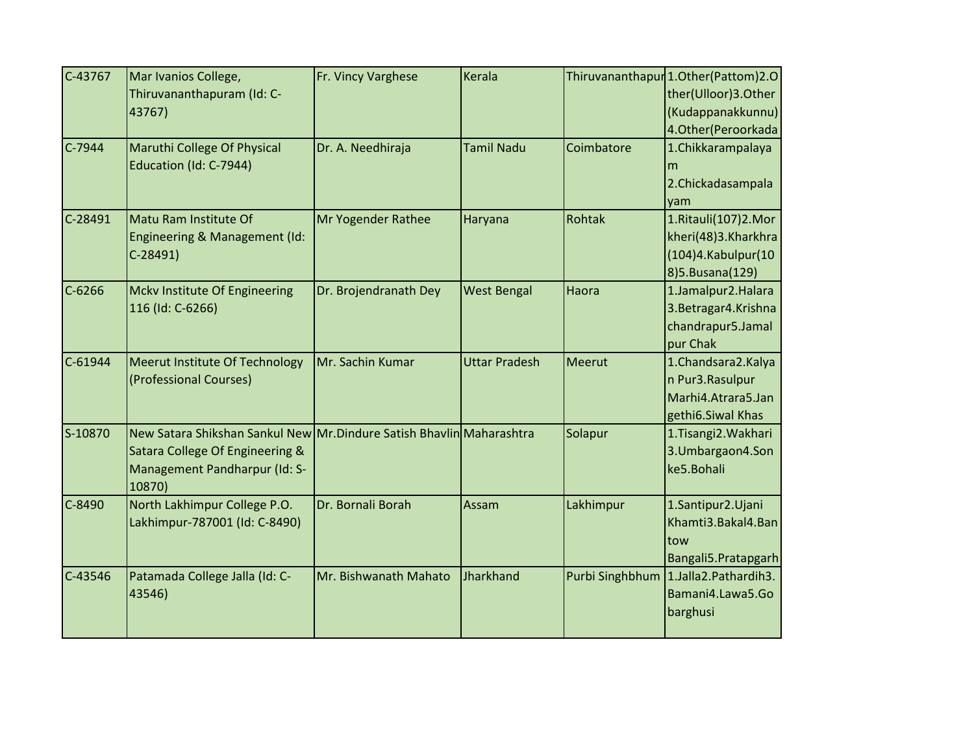| C-43767   | Mar Ivanios College,                                                 | Fr. Vincy Varghese    | <b>Kerala</b>        |            | Thiruvananthapur 1. Other (Pattom) 2. O |
|-----------|----------------------------------------------------------------------|-----------------------|----------------------|------------|-----------------------------------------|
|           | Thiruvananthapuram (Id: C-                                           |                       |                      |            | ther(Ulloor)3.Other                     |
|           | 43767)                                                               |                       |                      |            | (Kudappanakkunnu)                       |
|           |                                                                      |                       |                      |            | 4.Other(Peroorkada                      |
| $C-7944$  | Maruthi College Of Physical                                          | Dr. A. Needhiraja     | <b>Tamil Nadu</b>    | Coimbatore | 1.Chikkarampalaya                       |
|           | Education (Id: C-7944)                                               |                       |                      |            | m                                       |
|           |                                                                      |                       |                      |            | 2. Chickadasampala                      |
|           |                                                                      |                       |                      |            | yam                                     |
| C-28491   | Matu Ram Institute Of                                                | Mr Yogender Rathee    | Haryana              | Rohtak     | 1.Ritauli(107)2.Mor                     |
|           | Engineering & Management (Id:                                        |                       |                      |            | kheri(48)3.Kharkhra                     |
|           | $C-28491$                                                            |                       |                      |            | (104) 4. Kabulpur (10                   |
|           |                                                                      |                       |                      |            | 8) 5. Busana (129)                      |
| $C-6266$  | Mckv Institute Of Engineering                                        | Dr. Brojendranath Dey | <b>West Bengal</b>   | Haora      | 1.Jamalpur2.Halara                      |
|           | 116 (Id: C-6266)                                                     |                       |                      |            | 3. Betragar 4. Krishna                  |
|           |                                                                      |                       |                      |            | chandrapur5.Jamal                       |
|           |                                                                      |                       |                      |            | pur Chak                                |
| $C-61944$ | Meerut Institute Of Technology                                       | Mr. Sachin Kumar      | <b>Uttar Pradesh</b> | Meerut     | 1.Chandsara2.Kalya                      |
|           | (Professional Courses)                                               |                       |                      |            | n Pur3.Rasulpur                         |
|           |                                                                      |                       |                      |            | Marhi4.Atrara5.Jan                      |
|           |                                                                      |                       |                      |            | gethi6.Siwal Khas                       |
| S-10870   | New Satara Shikshan Sankul New Mr.Dindure Satish Bhaylin Maharashtra |                       |                      | Solapur    | 1. Tisangi 2. Wakhari                   |
|           | Satara College Of Engineering &                                      |                       |                      |            | 3.Umbargaon4.Son                        |
|           | Management Pandharpur (Id: S-                                        |                       |                      |            | ke5.Bohali                              |
|           | 10870)                                                               |                       |                      |            |                                         |
| $C-8490$  | North Lakhimpur College P.O.                                         | Dr. Bornali Borah     | Assam                | Lakhimpur  | 1.Santipur2.Ujani                       |
|           | Lakhimpur-787001 (Id: C-8490)                                        |                       |                      |            | Khamti3.Bakal4.Ban                      |
|           |                                                                      |                       |                      |            | tow                                     |
|           |                                                                      |                       |                      |            | Bangali5.Pratapgarh                     |
| $C-43546$ | Patamada College Jalla (Id: C-                                       | Mr. Bishwanath Mahato | Jharkhand            |            | Purbi Singhbhum 1.Jalla2.Pathardih3.    |
|           | 43546)                                                               |                       |                      |            | Bamani4.Lawa5.Go                        |
|           |                                                                      |                       |                      |            | barghusi                                |
|           |                                                                      |                       |                      |            |                                         |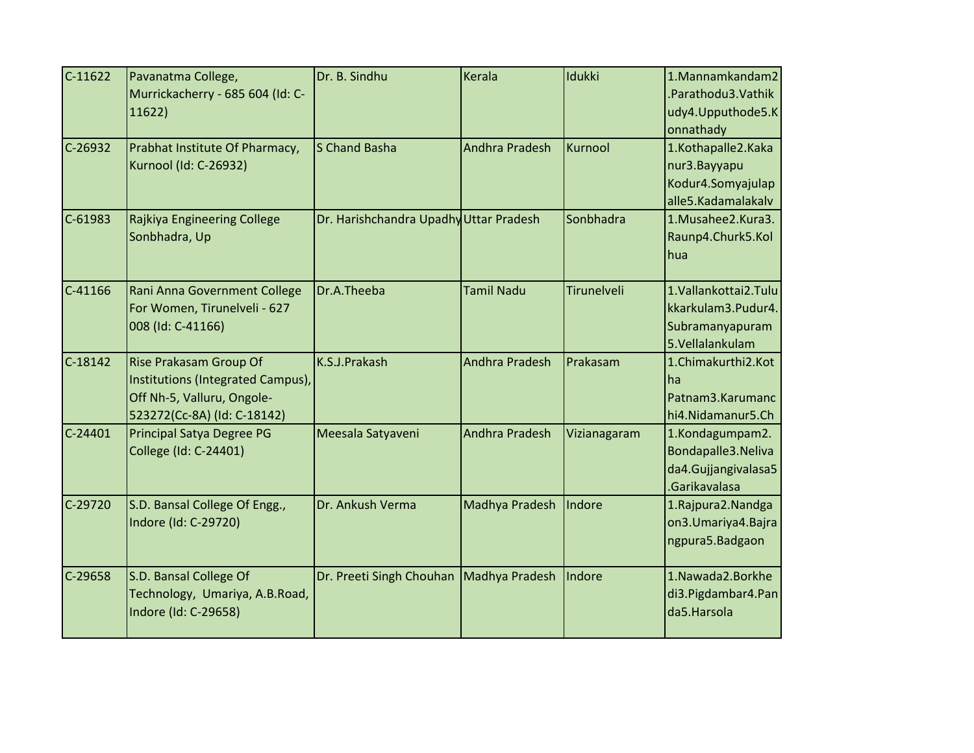| $C-11622$ | Pavanatma College,                | Dr. B. Sindhu                           | <b>Kerala</b>         | Idukki             | 1.Mannamkandam2       |
|-----------|-----------------------------------|-----------------------------------------|-----------------------|--------------------|-----------------------|
|           | Murrickacherry - 685 604 (Id: C-  |                                         |                       |                    | .Parathodu3.Vathik    |
|           | 11622)                            |                                         |                       |                    | udy4.Upputhode5.K     |
|           |                                   |                                         |                       |                    | onnathady             |
| C-26932   | Prabhat Institute Of Pharmacy,    | S Chand Basha                           | Andhra Pradesh        | Kurnool            | 1.Kothapalle2.Kaka    |
|           | Kurnool (Id: C-26932)             |                                         |                       |                    | nur3.Bayyapu          |
|           |                                   |                                         |                       |                    | Kodur4.Somyajulap     |
|           |                                   |                                         |                       |                    | alle5.Kadamalakalv    |
| $C-61983$ | Rajkiya Engineering College       | Dr. Harishchandra Upadhy Uttar Pradesh  |                       | Sonbhadra          | 1.Musahee2.Kura3.     |
|           | Sonbhadra, Up                     |                                         |                       |                    | Raunp4.Churk5.Kol     |
|           |                                   |                                         |                       |                    | <b>I</b> hua          |
| C-41166   | Rani Anna Government College      | Dr.A.Theeba                             | <b>Tamil Nadu</b>     | <b>Tirunelveli</b> | 1.Vallankottai2.Tulu  |
|           | For Women, Tirunelveli - 627      |                                         |                       |                    | kkarkulam3.Pudur4.    |
|           | 008 (Id: C-41166)                 |                                         |                       |                    | Subramanyapuram       |
|           |                                   |                                         |                       |                    | 5.Vellalankulam       |
| $C-18142$ | Rise Prakasam Group Of            | K.S.J.Prakash                           | Andhra Pradesh        | Prakasam           | 1.Chimakurthi2.Kot    |
|           | Institutions (Integrated Campus), |                                         |                       |                    | <b>I</b> ha           |
|           | Off Nh-5, Valluru, Ongole-        |                                         |                       |                    | Patnam3.Karumanc      |
|           | 523272(Cc-8A) (Id: C-18142)       |                                         |                       |                    | hi4.Nidamanur5.Ch     |
| $C-24401$ | Principal Satya Degree PG         | Meesala Satyaveni                       | <b>Andhra Pradesh</b> | Vizianagaram       | 1.Kondagumpam2.       |
|           | College (Id: C-24401)             |                                         |                       |                    | Bondapalle3. Neliva   |
|           |                                   |                                         |                       |                    | da4.Gujjangivalasa5   |
|           |                                   |                                         |                       |                    | .Garikavalasa         |
| $C-29720$ | S.D. Bansal College Of Engg.,     | Dr. Ankush Verma                        | Madhya Pradesh        | Indore             | 1.Rajpura2.Nandga     |
|           | Indore (Id: C-29720)              |                                         |                       |                    | on3. Umariya 4. Bajra |
|           |                                   |                                         |                       |                    | ngpura5.Badgaon       |
| C-29658   | S.D. Bansal College Of            | Dr. Preeti Singh Chouhan Madhya Pradesh |                       | Indore             | 1. Nawada 2. Borkhe   |
|           | Technology, Umariya, A.B.Road,    |                                         |                       |                    | di3.Pigdambar4.Pan    |
|           | Indore (Id: C-29658)              |                                         |                       |                    | da5.Harsola           |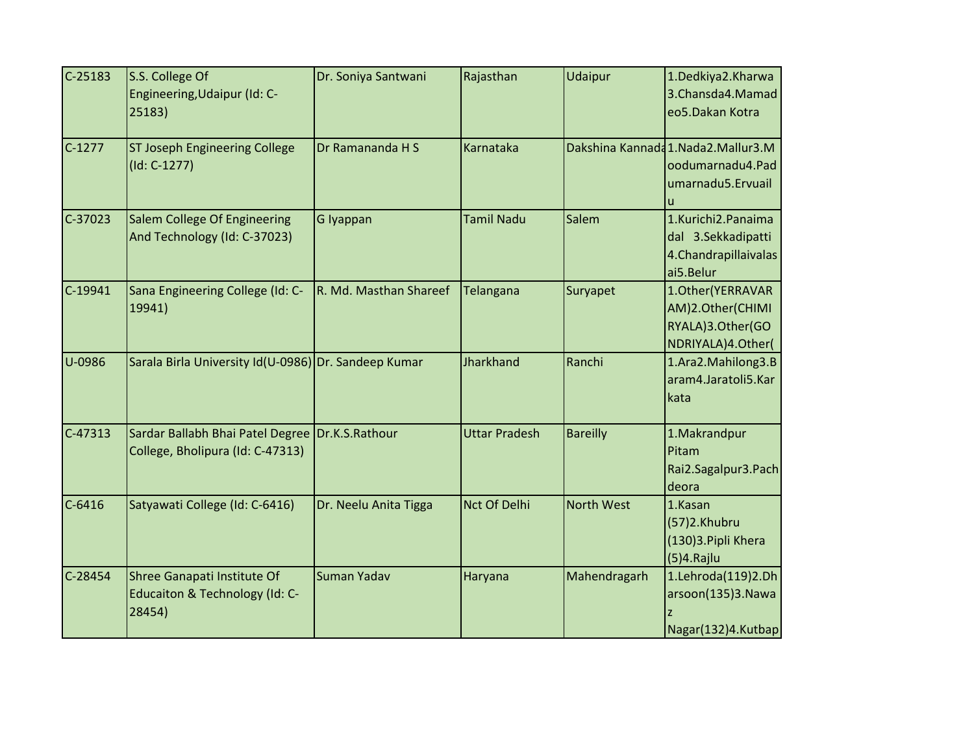| $C-25183$  | S.S. College Of<br>Engineering, Udaipur (Id: C-<br>25183)                           | Dr. Soniya Santwani    | Rajasthan            | Udaipur           | 1.Dedkiya2.Kharwa<br>3.Chansda4.Mamad<br>eo5.Dakan Kotra                           |
|------------|-------------------------------------------------------------------------------------|------------------------|----------------------|-------------------|------------------------------------------------------------------------------------|
| $C-1277$   | <b>ST Joseph Engineering College</b><br>$(Id: C-1277)$                              | Dr Ramananda H S       | Karnataka            |                   | Dakshina Kannada 1.Nada 2.Mallur 3.M<br>oodumarnadu4.Pad<br>umarnadu5.Ervuail<br>u |
| $C-37023$  | Salem College Of Engineering<br>And Technology (Id: C-37023)                        | G Iyappan              | Tamil Nadu           | Salem             | 1.Kurichi2.Panaima<br>dal 3.Sekkadipatti<br>4. Chandrapillaivalas<br>ai5.Belur     |
| C-19941    | Sana Engineering College (Id: C-<br>19941)                                          | R. Md. Masthan Shareef | Telangana            | Suryapet          | 1.Other(YERRAVAR<br>AM)2.Other(CHIMI<br>RYALA)3.Other(GO<br>NDRIYALA)4.Other(      |
| U-0986     | Sarala Birla University Id(U-0986) Dr. Sandeep Kumar                                |                        | Jharkhand            | Ranchi            | 1.Ara2.Mahilong3.B<br>aram4.Jaratoli5.Kar<br>kata                                  |
| C-47313    | Sardar Ballabh Bhai Patel Degree Dr.K.S.Rathour<br>College, Bholipura (Id: C-47313) |                        | <b>Uttar Pradesh</b> | <b>Bareilly</b>   | 1. Makrandpur<br>Pitam<br>Rai2.Sagalpur3.Pach<br>deora                             |
| $C - 6416$ | Satyawati College (Id: C-6416)                                                      | Dr. Neelu Anita Tigga  | <b>Nct Of Delhi</b>  | <b>North West</b> | 1.Kasan<br>(57)2.Khubru<br>(130)3. Pipli Khera<br>(5)4.Rajlu                       |
| $C-28454$  | Shree Ganapati Institute Of<br>Educaiton & Technology (Id: C-<br>28454)             | Suman Yadav            | Haryana              | Mahendragarh      | 1.Lehroda(119)2.Dh<br>arsoon(135)3.Nawa<br>Nagar(132)4.Kutbap                      |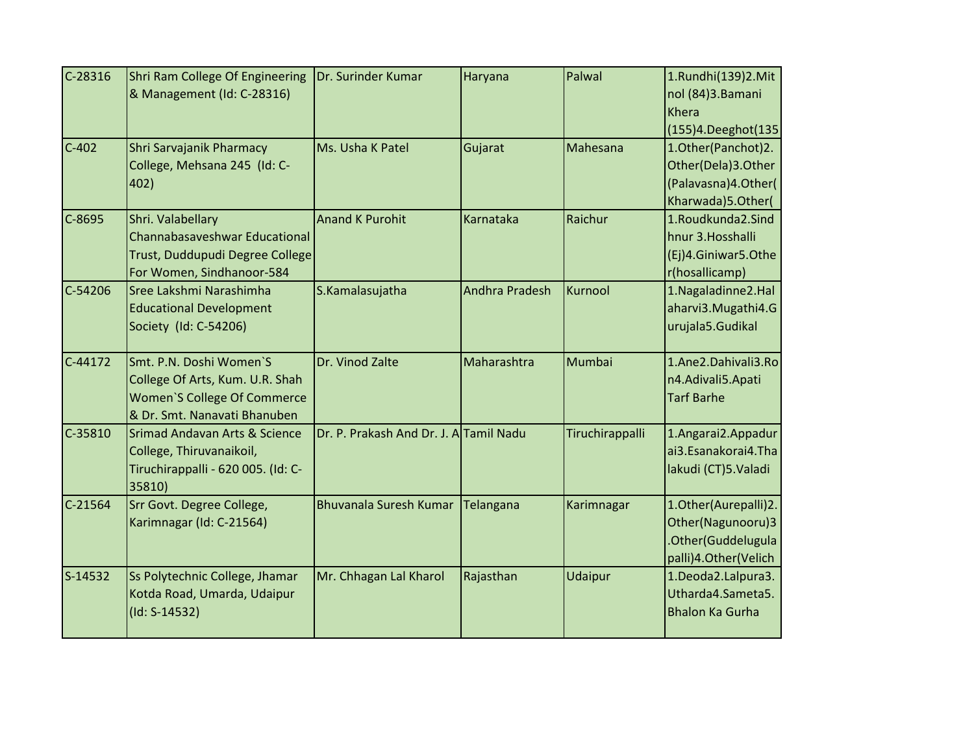| $C-28316$ | Shri Ram College Of Engineering              | Dr. Surinder Kumar                     | Haryana        | Palwal          | 1.Rundhi(139)2.Mit     |
|-----------|----------------------------------------------|----------------------------------------|----------------|-----------------|------------------------|
|           | & Management (Id: C-28316)                   |                                        |                |                 | nol (84)3. Bamani      |
|           |                                              |                                        |                |                 | Khera                  |
|           |                                              |                                        |                |                 | (155)4.Deeghot(135     |
| $C-402$   | Shri Sarvajanik Pharmacy                     | Ms. Usha K Patel                       | Gujarat        | Mahesana        | 1.Other(Panchot)2.     |
|           | College, Mehsana 245 (Id: C-                 |                                        |                |                 | Other(Dela)3.Other     |
|           | 402)                                         |                                        |                |                 | (Palavasna) 4. Other(  |
|           |                                              |                                        |                |                 | Kharwada)5.Other(      |
| $C-8695$  | Shri. Valabellary                            | <b>Anand K Purohit</b>                 | Karnataka      | Raichur         | 1.Roudkunda2.Sind      |
|           | Channabasaveshwar Educational                |                                        |                |                 | hnur 3. Hosshalli      |
|           | Trust, Duddupudi Degree College              |                                        |                |                 | (Ej)4.Giniwar5.Othe    |
|           | For Women, Sindhanoor-584                    |                                        |                |                 | r(hosallicamp)         |
| C-54206   | Sree Lakshmi Narashimha                      | S.Kamalasujatha                        | Andhra Pradesh | Kurnool         | 1.Nagaladinne2.Hal     |
|           | <b>Educational Development</b>               |                                        |                |                 | aharvi3.Mugathi4.G     |
|           | Society (Id: C-54206)                        |                                        |                |                 | urujala5.Gudikal       |
| $C-44172$ | Smt. P.N. Doshi Women'S                      | Dr. Vinod Zalte                        | Maharashtra    | Mumbai          | 1.Ane2.Dahivali3.Ro    |
|           | College Of Arts, Kum. U.R. Shah              |                                        |                |                 | n4.Adivali5.Apati      |
|           | Women'S College Of Commerce                  |                                        |                |                 | <b>Tarf Barhe</b>      |
|           | & Dr. Smt. Nanavati Bhanuben                 |                                        |                |                 |                        |
| C-35810   | <b>Srimad Andavan Arts &amp; Science</b>     | Dr. P. Prakash And Dr. J. A Tamil Nadu |                | Tiruchirappalli | 1.Angarai2.Appadur     |
|           | College, Thiruvanaikoil,                     |                                        |                |                 | ai3.Esanakorai4.Tha    |
|           | Tiruchirappalli - 620 005. (Id: C-<br>35810) |                                        |                |                 | lakudi (CT)5.Valadi    |
| C-21564   | Srr Govt. Degree College,                    | <b>Bhuvanala Suresh Kumar</b>          | Telangana      | Karimnagar      | 1.Other(Aurepalli)2.   |
|           | Karimnagar (Id: C-21564)                     |                                        |                |                 | Other(Nagunooru)3      |
|           |                                              |                                        |                |                 | .Other(Guddelugula     |
|           |                                              |                                        |                |                 | palli)4.Other(Velich   |
| S-14532   | Ss Polytechnic College, Jhamar               | Mr. Chhagan Lal Kharol                 | Rajasthan      | Udaipur         | 1.Deoda2.Lalpura3.     |
|           | Kotda Road, Umarda, Udaipur                  |                                        |                |                 | Utharda4.Sameta5.      |
|           | $(Id: S-14532)$                              |                                        |                |                 | <b>Bhalon Ka Gurha</b> |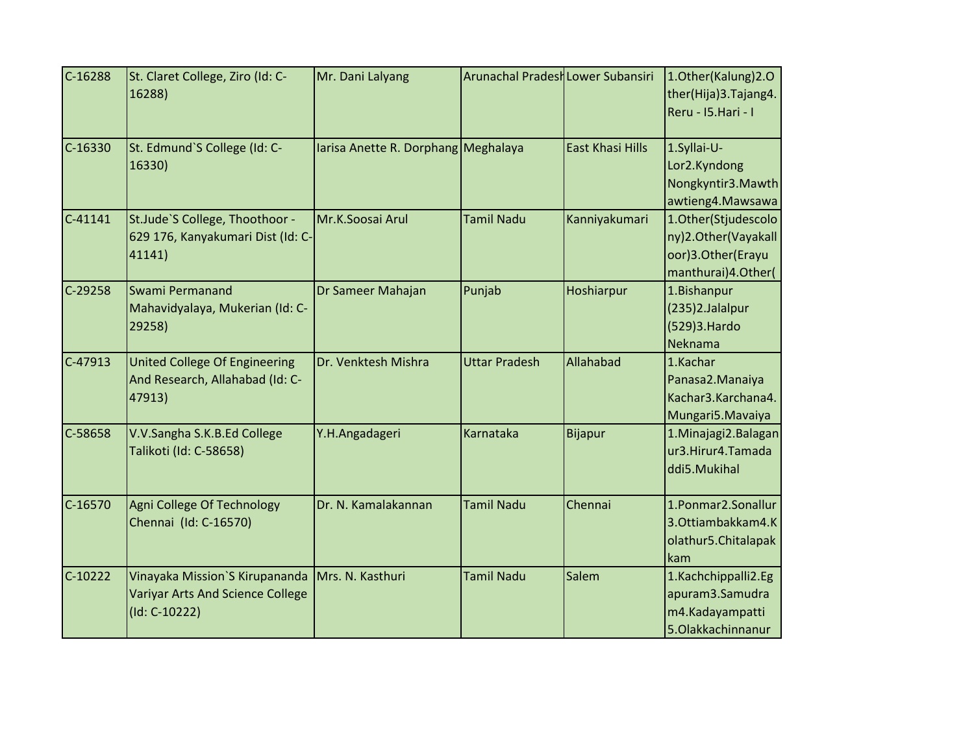| $C-16288$ | St. Claret College, Ziro (Id: C-<br>16288)                                          | Mr. Dani Lalyang                    | Arunachal Pradesh Lower Subansiri |                         | 1.0ther(Kalung)2.0<br>ther(Hija)3.Tajang4.<br>Reru - I5. Hari - I                     |
|-----------|-------------------------------------------------------------------------------------|-------------------------------------|-----------------------------------|-------------------------|---------------------------------------------------------------------------------------|
| $C-16330$ | St. Edmund'S College (Id: C-<br>16330)                                              | larisa Anette R. Dorphang Meghalaya |                                   | <b>East Khasi Hills</b> | 1.Syllai-U-<br>Lor2.Kyndong<br>Nongkyntir3. Mawth<br>awtieng4.Mawsawa                 |
| $C-41141$ | St.Jude'S College, Thoothoor -<br>629 176, Kanyakumari Dist (Id: C-<br>41141)       | Mr.K.Soosai Arul                    | Tamil Nadu                        | Kanniyakumari           | 1.Other(Stjudescolo<br>ny)2.Other(Vayakall<br>oor)3.Other(Erayu<br>manthurai)4.Other( |
| C-29258   | Swami Permanand<br>Mahavidyalaya, Mukerian (Id: C-<br>29258)                        | Dr Sameer Mahajan                   | Punjab                            | Hoshiarpur              | 1.Bishanpur<br>(235)2.Jalalpur<br>(529)3.Hardo<br>Neknama                             |
| $C-47913$ | <b>United College Of Engineering</b><br>And Research, Allahabad (Id: C-<br>47913)   | Dr. Venktesh Mishra                 | <b>Uttar Pradesh</b>              | Allahabad               | 1.Kachar<br>Panasa2. Manaiya<br>Kachar3.Karchana4.<br>Mungari5.Mavaiya                |
| C-58658   | V.V.Sangha S.K.B.Ed College<br>Talikoti (Id: C-58658)                               | Y.H.Angadageri                      | <b>Karnataka</b>                  | <b>Bijapur</b>          | 1. Minajagi 2. Balagan<br>ur3.Hirur4.Tamada<br>ddi5.Mukihal                           |
| $C-16570$ | Agni College Of Technology<br>Chennai (Id: C-16570)                                 | Dr. N. Kamalakannan                 | Tamil Nadu                        | Chennai                 | 1.Ponmar2.Sonallur<br>3.Ottiambakkam4.K<br>olathur5.Chitalapak<br>kam                 |
| $C-10222$ | Vinayaka Mission'S Kirupananda<br>Variyar Arts And Science College<br>(Id: C-10222) | Mrs. N. Kasthuri                    | Tamil Nadu                        | Salem                   | 1.Kachchippalli2.Eg<br>apuram3.Samudra<br>m4.Kadayampatti<br>5.Olakkachinnanur        |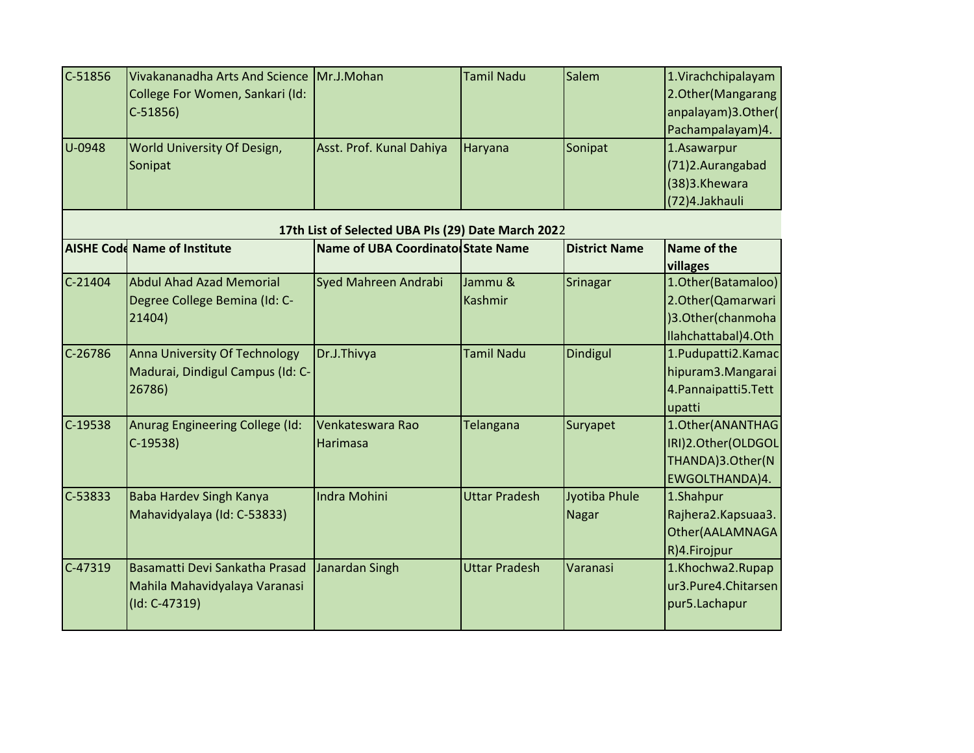| C-51856   | Vivakananadha Arts And Science      | Mr.J.Mohan                                         | <b>Tamil Nadu</b>    | Salem                | 1.Virachchipalayam                   |
|-----------|-------------------------------------|----------------------------------------------------|----------------------|----------------------|--------------------------------------|
|           | College For Women, Sankari (Id:     |                                                    |                      |                      | 2.Other(Mangarang                    |
|           | $C-51856$                           |                                                    |                      |                      | anpalayam)3.Other(                   |
|           |                                     |                                                    |                      |                      | Pachampalayam)4.                     |
| U-0948    | World University Of Design,         | Asst. Prof. Kunal Dahiya                           | Haryana              | Sonipat              | 1.Asawarpur                          |
|           | Sonipat                             |                                                    |                      |                      | (71)2.Aurangabad                     |
|           |                                     |                                                    |                      |                      | (38)3.Khewara                        |
|           |                                     |                                                    |                      |                      | (72)4.Jakhauli                       |
|           |                                     | 17th List of Selected UBA PIs (29) Date March 2022 |                      |                      |                                      |
|           | <b>AISHE Codd Name of Institute</b> | Name of UBA Coordinato State Name                  |                      | <b>District Name</b> | Name of the                          |
|           |                                     |                                                    |                      |                      | villages                             |
| $C-21404$ | <b>Abdul Ahad Azad Memorial</b>     | Syed Mahreen Andrabi                               | Jammu &              | Srinagar             | 1.Other(Batamaloo)                   |
|           | Degree College Bemina (Id: C-       |                                                    | Kashmir              |                      | 2. Other (Qamarwari                  |
|           | 21404)                              |                                                    |                      |                      | )3.Other(chanmoha                    |
|           |                                     |                                                    |                      |                      | llahchattabal)4.Oth                  |
| C-26786   | Anna University Of Technology       | Dr.J.Thivya                                        | <b>Tamil Nadu</b>    | <b>Dindigul</b>      | 1. Pudupatti 2. Kamac                |
|           | Madurai, Dindigul Campus (Id: C-    |                                                    |                      |                      | hipuram3.Mangarai                    |
|           | 26786)                              |                                                    |                      |                      | 4. Pannaipatti 5. Tett               |
|           |                                     |                                                    |                      |                      | upatti                               |
| C-19538   | Anurag Engineering College (Id:     | Venkateswara Rao                                   | Telangana            | Suryapet             | 1.Other(ANANTHAG                     |
|           | $C-19538$                           | Harimasa                                           |                      |                      | IRI)2.Other(OLDGOL                   |
|           |                                     |                                                    |                      |                      | THANDA)3.Other(N                     |
|           |                                     |                                                    |                      |                      | EWGOLTHANDA)4.                       |
| C-53833   | <b>Baba Hardev Singh Kanya</b>      | <b>Indra Mohini</b>                                | <b>Uttar Pradesh</b> | Jyotiba Phule        | 1.Shahpur                            |
|           | Mahavidyalaya (Id: C-53833)         |                                                    |                      | <b>Nagar</b>         | Rajhera2.Kapsuaa3.                   |
|           |                                     |                                                    |                      |                      | Other(AALAMNAGA                      |
|           |                                     |                                                    |                      |                      | R)4.Firojpur                         |
| C-47319   | Basamatti Devi Sankatha Prasad      | Janardan Singh                                     | <b>Uttar Pradesh</b> | Varanasi             | 1.Khochwa2.Rupap                     |
|           | Mahila Mahavidyalaya Varanasi       |                                                    |                      |                      | ur3.Pure4.Chitarsen<br>pur5.Lachapur |
|           | $(Id: C-47319)$                     |                                                    |                      |                      |                                      |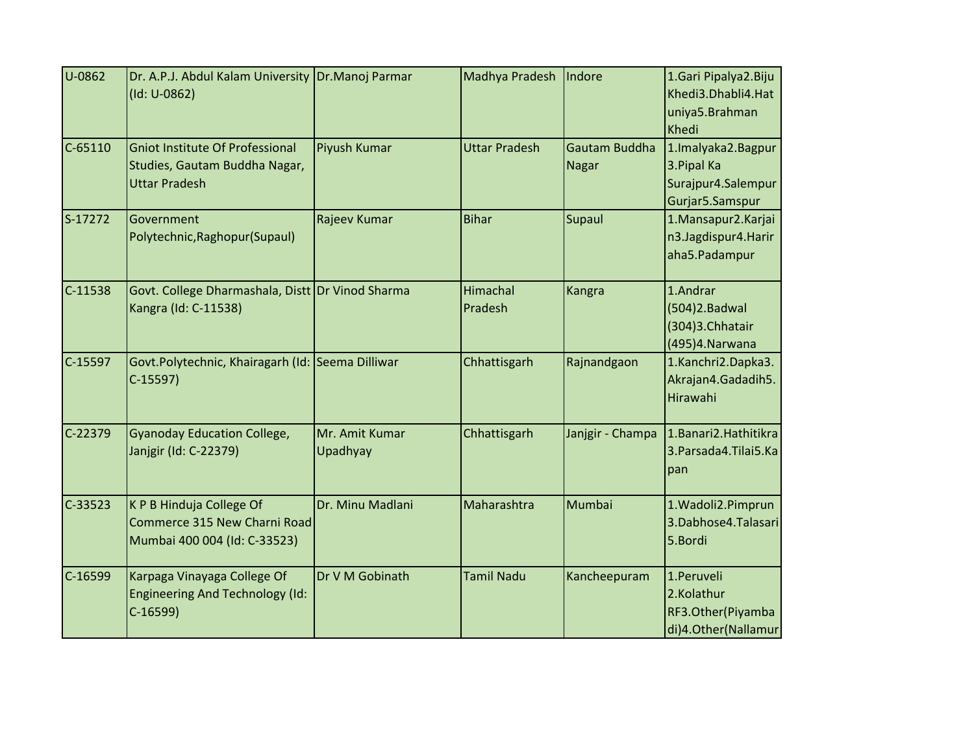| U-0862    | Dr. A.P.J. Abdul Kalam University Dr. Manoj Parmar<br>(Id: U-0862)                              |                            | Madhya Pradesh   Indore |                        | 1.Gari Pipalya2.Biju<br>Khedi3.Dhabli4.Hat<br>uniya5.Brahman<br>Khedi      |
|-----------|-------------------------------------------------------------------------------------------------|----------------------------|-------------------------|------------------------|----------------------------------------------------------------------------|
| $C-65110$ | <b>Gniot Institute Of Professional</b><br>Studies, Gautam Buddha Nagar,<br><b>Uttar Pradesh</b> | Piyush Kumar               | <b>Uttar Pradesh</b>    | Gautam Buddha<br>Nagar | 1.Imalyaka2.Bagpur<br>3. Pipal Ka<br>Surajpur4.Salempur<br>Gurjar5.Samspur |
| S-17272   | Government<br>Polytechnic, Raghopur (Supaul)                                                    | Rajeev Kumar               | <b>Bihar</b>            | Supaul                 | 1. Mansapur 2. Karjai<br>n3.Jagdispur4.Harir<br>aha5.Padampur              |
| C-11538   | Govt. College Dharmashala, Distt Dr Vinod Sharma<br>Kangra (Id: C-11538)                        |                            | Himachal<br>Pradesh     | Kangra                 | 1.Andrar<br>(504) 2. Badwal<br>(304)3.Chhatair<br>(495)4. Narwana          |
| $C-15597$ | Govt.Polytechnic, Khairagarh (Id: Seema Dilliwar<br>$C-15597$                                   |                            | Chhattisgarh            | Rajnandgaon            | 1.Kanchri2.Dapka3.<br>Akrajan4.Gadadih5.<br>Hirawahi                       |
| C-22379   | <b>Gyanoday Education College,</b><br>Janjgir (Id: C-22379)                                     | Mr. Amit Kumar<br>Upadhyay | Chhattisgarh            | Janjgir - Champa       | 1. Banari 2. Hathitikra<br>3. Parsada 4. Tilai 5. Ka<br>pan                |
| $C-33523$ | K P B Hinduja College Of<br>Commerce 315 New Charni Road<br>Mumbai 400 004 (Id: C-33523)        | Dr. Minu Madlani           | Maharashtra             | Mumbai                 | 1. Wadoli 2. Pimprun<br>3.Dabhose4.Talasari<br>5.Bordi                     |
| $C-16599$ | Karpaga Vinayaga College Of<br><b>Engineering And Technology (Id:</b><br>$C-16599$              | Dr V M Gobinath            | <b>Tamil Nadu</b>       | Kancheepuram           | 1.Peruveli<br>2.Kolathur<br>RF3.Other(Piyamba<br>di)4.Other(Nallamur       |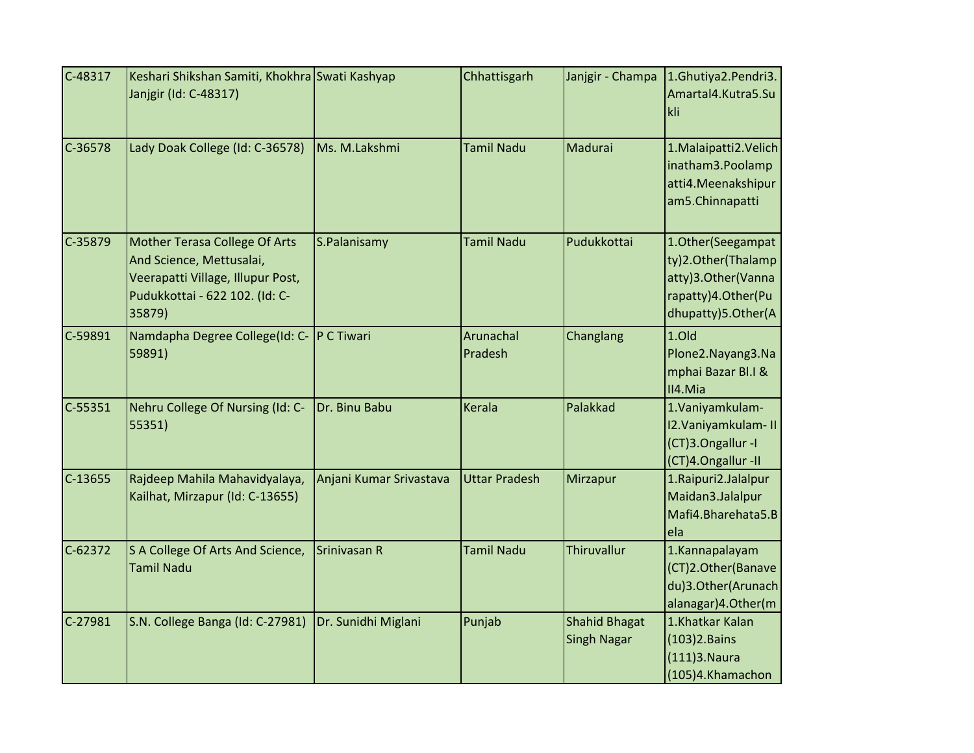| C-48317   | Keshari Shikshan Samiti, Khokhra Swati Kashyap<br>Janjgir (Id: C-48317)                                                                           |                         | Chhattisgarh         | Janjgir - Champa                           | 1.Ghutiya2.Pendri3.<br>Amartal4.Kutra5.Su<br>kli                                                          |
|-----------|---------------------------------------------------------------------------------------------------------------------------------------------------|-------------------------|----------------------|--------------------------------------------|-----------------------------------------------------------------------------------------------------------|
| C-36578   | Lady Doak College (Id: C-36578)                                                                                                                   | Ms. M.Lakshmi           | <b>Tamil Nadu</b>    | Madurai                                    | 1.Malaipatti2.Velich<br>inatham3.Poolamp<br>atti4.Meenakshipur<br>am5.Chinnapatti                         |
| C-35879   | <b>Mother Terasa College Of Arts</b><br>And Science, Mettusalai,<br>Veerapatti Village, Illupur Post,<br>Pudukkottai - 622 102. (Id: C-<br>35879) | S.Palanisamy            | <b>Tamil Nadu</b>    | Pudukkottai                                | 1.Other(Seegampat<br>ty)2.Other(Thalamp<br>atty)3.Other(Vanna<br>rapatty)4.Other(Pu<br>dhupatty)5.Other(A |
| $C-59891$ | Namdapha Degree College(Id: C-P C Tiwari<br>59891)                                                                                                |                         | Arunachal<br>Pradesh | Changlang                                  | 1.0 <sub>Id</sub><br>Plone2.Nayang3.Na<br>mphai Bazar Bl.I &<br>II4.Mia                                   |
| $C-55351$ | Nehru College Of Nursing (Id: C-<br>55351)                                                                                                        | Dr. Binu Babu           | <b>Kerala</b>        | Palakkad                                   | 1. Vaniyam kulam-<br>12. Vaniyamkulam - II<br>(CT)3.Ongallur -I<br>(CT)4.Ongallur-II                      |
| $C-13655$ | Rajdeep Mahila Mahavidyalaya,<br>Kailhat, Mirzapur (Id: C-13655)                                                                                  | Anjani Kumar Srivastava | <b>Uttar Pradesh</b> | Mirzapur                                   | 1.Raipuri2.Jalalpur<br>Maidan3.Jalalpur<br>Mafi4.Bharehata5.B<br>ela                                      |
| $C-62372$ | S A College Of Arts And Science,<br><b>Tamil Nadu</b>                                                                                             | Srinivasan R            | <b>Tamil Nadu</b>    | <b>Thiruvallur</b>                         | 1.Kannapalayam<br>(CT)2.Other(Banave<br>du)3.Other(Arunach<br>alanagar)4.Other(m                          |
| $C-27981$ | S.N. College Banga (Id: C-27981)                                                                                                                  | Dr. Sunidhi Miglani     | Punjab               | <b>Shahid Bhagat</b><br><b>Singh Nagar</b> | 1.Khatkar Kalan<br>(103) 2. Bains<br>$(111)$ 3. Naura<br>(105)4.Khamachon                                 |